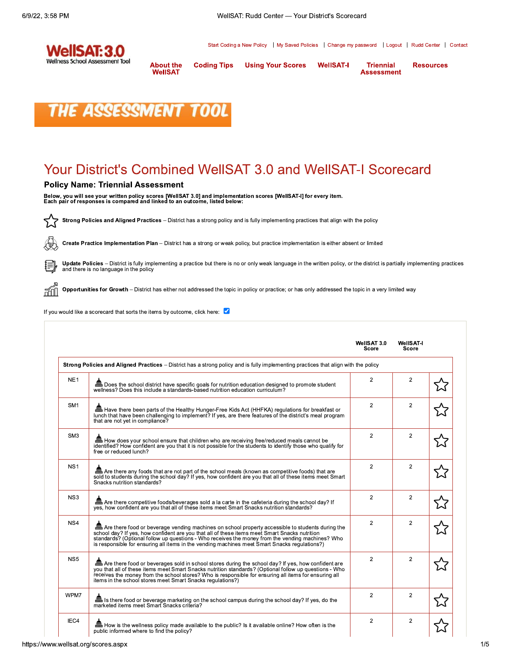

Start Coding a New Policy | My Saved Policies | Change my password | Logout | Rudd Center | Contact

**About the Coding Tips WellSAT** 

**Using Your Scores** 

**WellSAT-I Triennial Assessment**  **Resources** 



## **Your District's Combined WellSAT 3.0 and WellSAT-I Scorecard**

#### **Policy Name: Triennial Assessment**

Below, you will see your written policy scores [WellSAT 3.0] and implementation scores [WellSAT-I] for every item.<br>Each pair of responses is compared and linked to an outcome, listed below:

颛

Strong Policies and Aligned Practices - District has a strong policy and is fully implementing practices that align with the policy

砥 Create Practice Implementation Plan - District has a strong or weak policy, but practice implementation is either absent or limited

Update Policies - District is fully implementing a practice but there is no or only weak language in the written policy, or the district is partially implementing practices and there is no language in the policy

Opportunities for Growth - District has either not addressed the topic in policy or practice; or has only addressed the topic in a very limited way

If you would like a scorecard that sorts the items by outcome, click here:  $\blacktriangledown$ 

|                 |                                                                                                                                                                                                                                                                                                                                                                                                        | WellSAT 3.0<br>Score | WellSAT-I<br>Score |  |
|-----------------|--------------------------------------------------------------------------------------------------------------------------------------------------------------------------------------------------------------------------------------------------------------------------------------------------------------------------------------------------------------------------------------------------------|----------------------|--------------------|--|
|                 | Strong Policies and Aligned Practices – District has a strong policy and is fully implementing practices that align with the policy                                                                                                                                                                                                                                                                    |                      |                    |  |
| NE <sub>1</sub> | <b>ED</b> Does the school district have specific goals for nutrition education designed to promote student wellness? Does this include a standards-based nutrition education curriculum?                                                                                                                                                                                                               | $\overline{2}$       | $\overline{2}$     |  |
| SM <sub>1</sub> | Have there been parts of the Healthy Hunger-Free Kids Act (HHFKA) regulations for breakfast or<br>lunch that have been challenging to implement? If yes, are there features of the district's meal program<br>that are not yet in compliance?                                                                                                                                                          | 2                    | $\overline{2}$     |  |
| SM <sub>3</sub> | How does your school ensure that children who are receiving free/reduced meals cannot be<br>identified? How confident are you that it is not possible for the students to identify those who qualify for<br>free or reduced lunch?                                                                                                                                                                     | $\overline{2}$       | $\overline{2}$     |  |
| NS <sub>1</sub> | The Are there any foods that are not part of the school meals (known as competitive foods) that are<br>sold to students during the school day? If yes, how confident are you that all of these items meet Smart<br>Snacks nutrition standards?                                                                                                                                                         | $\overline{2}$       | $\overline{2}$     |  |
| NS <sub>3</sub> | Are there competitive foods/beverages sold a la carte in the cafeteria during the school day? If<br>yes, how confident are you that all of these items meet Smart Snacks nutrition standards?                                                                                                                                                                                                          | $\overline{2}$       | $\overline{2}$     |  |
| NS4             | Are there food or beverage vending machines on school property accessible to students during the<br>school day? If yes, how confident are you that all of these items meet Smart Snacks nutrition<br>standards? (Optional follow up questions - Who receives the money from the vending machines? Who<br>is responsible for ensuring all items in the vending machines meet Smart Snacks regulations?) | $\overline{2}$       | $\overline{2}$     |  |
| NS <sub>5</sub> | Are there food or beverages sold in school stores during the school day? If yes, how confident are<br>you that all of these items meet Smart Snacks nutrition standards? (Optional follow up questions - Who<br>receives the money from the school stores? Who is responsible for ensuring all items for ensuring all<br>items in the school stores meet Smart Snacks regulations?)                    | $\overline{2}$       | $\overline{2}$     |  |
| WPM7            | Is there food or beverage marketing on the school campus during the school day? If yes, do the<br>marketed items meet Smart Snacks criteria?                                                                                                                                                                                                                                                           | $\overline{2}$       | $\overline{2}$     |  |
| IEC4            | <b>Et How</b> is the wellness policy made available to the public? Is it available online? How often is the<br>public informed where to find the policy?                                                                                                                                                                                                                                               | 2                    | $\overline{2}$     |  |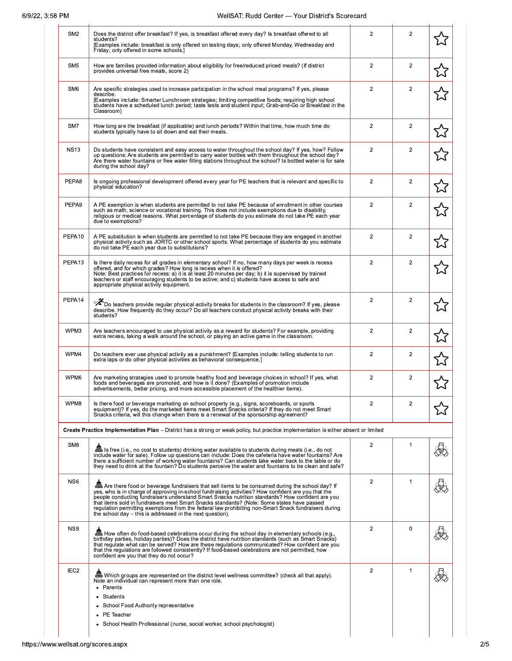| SM <sub>2</sub>  | Does the district offer breakfast? If yes, is breakfast offered every day? Is breakfast offered to all<br>students?<br>[Examples include: breakfast is only offered on testing days; only offered Monday, Wednesday and<br>Friday; only offered in some schools.]                                                                                                                                                                                                                                                                                                             | $\overline{2}$ | $\overline{2}$ |  |
|------------------|-------------------------------------------------------------------------------------------------------------------------------------------------------------------------------------------------------------------------------------------------------------------------------------------------------------------------------------------------------------------------------------------------------------------------------------------------------------------------------------------------------------------------------------------------------------------------------|----------------|----------------|--|
| SM <sub>5</sub>  | How are families provided information about eligibility for free/reduced priced meals? (If district<br>provides universal free meals, score 2)                                                                                                                                                                                                                                                                                                                                                                                                                                | $\overline{2}$ | $\overline{2}$ |  |
| SM <sub>6</sub>  | Are specific strategies used to increase participation in the school meal programs? If yes, please<br>describe.<br>[Examples include: Smarter Lunchroom strategies; limiting competitive foods; requiring high school<br>students have a scheduled lunch period; taste tests and student input; Grab-and-Go or Breakfast in the<br>Classrooml                                                                                                                                                                                                                                 | $\overline{2}$ | $\overline{2}$ |  |
| SM7              | How long are the breakfast (if applicable) and lunch periods? Within that time, how much time do<br>students typically have to sit down and eat their meals.                                                                                                                                                                                                                                                                                                                                                                                                                  | $\overline{2}$ | $\overline{2}$ |  |
| <b>NS13</b>      | Do students have consistent and easy access to water throughout the school day? If yes, how? Follow<br>up questions: Are students are permitted to carry water bottles with them throughout the school day?<br>Are there water fountains or free water filling stations throughout the school? Is bottled water is for sale<br>during the school day?                                                                                                                                                                                                                         | $\overline{2}$ | $\overline{2}$ |  |
| PEPA8            | Is ongoing professional development offered every year for PE teachers that is relevant and specific to<br>physical education?                                                                                                                                                                                                                                                                                                                                                                                                                                                | $\overline{2}$ | $\overline{2}$ |  |
| PEPA9            | A PE exemption is when students are permitted to not take PE because of enrollment in other courses<br>such as math, science or vocational training. This does not include exemptions due to disability,<br>religious or medical reasons. What percentage of students do you estimate do not take PE each year<br>due to exemptions?                                                                                                                                                                                                                                          | $\overline{2}$ | $\overline{2}$ |  |
| PEPA10           | A PE substitution is when students are permitted to not take PE because they are engaged in another<br>physical activity such as JORTC or other school sports. What percentage of students do you estimate<br>do not take PE each year due to substitutions?                                                                                                                                                                                                                                                                                                                  | $\overline{2}$ | $\overline{2}$ |  |
| PEPA13           | Is there daily recess for all grades in elementary school? If no, how many days per week is recess<br>offered, and for which grades? How long is recess when it is offered?<br>Note: Best practices for recess: a) it is at least 20 minutes per day; b) it is supervised by trained<br>teachers or staff encouraging students to be active; and c) students have access to safe and<br>appropriate physical activity equipment.                                                                                                                                              | $\overline{2}$ | $\overline{2}$ |  |
| PEPA14           | $\mathscr X$ Do teachers provide regular physical activity breaks for students in the classroom? If yes, please<br>describe. How frequently do they occur? Do all teachers conduct physical activity breaks with their<br>students?                                                                                                                                                                                                                                                                                                                                           | $\overline{2}$ | $\overline{2}$ |  |
| WPM3             | Are teachers encouraged to use physical activity as a reward for students? For example, providing<br>extra recess, taking a walk around the school, or playing an active game in the classroom.                                                                                                                                                                                                                                                                                                                                                                               | $\overline{2}$ | $\overline{2}$ |  |
| WPM4             | Do teachers ever use physical activity as a punishment? [Examples include: telling students to run<br>extra laps or do other physical activities as behavioral consequence.                                                                                                                                                                                                                                                                                                                                                                                                   | $\overline{2}$ | $\overline{2}$ |  |
| WPM6             | Are marketing strategies used to promote healthy food and beverage choices in school? If yes, what<br>foods and beverages are promoted, and how is it done? (Examples of promotion include<br>advertisements, better pricing, and more accessible placement of the healthier items).                                                                                                                                                                                                                                                                                          | $\overline{2}$ | $\overline{2}$ |  |
| WPM8             | Is there food or beverage marketing on school property (e.g., signs, scoreboards, or sports<br>equipment)? If yes, do the marketed items meet Smart Snacks criteria? If they do not meet Smart<br>Snacks criteria, will this change when there is a renewal of the sponsorship agreement?                                                                                                                                                                                                                                                                                     | $\overline{2}$ | 2              |  |
|                  | Create Practice Implementation Plan - District has a strong or weak policy, but practice implementation is either absent or limited                                                                                                                                                                                                                                                                                                                                                                                                                                           |                |                |  |
| SM <sub>8</sub>  | is free (i.e., no cost to students) drinking water available to students during meals (i.e., do not<br>include water for sale). Follow up questions can include: Does the cafeteria have water fountains? Are<br>there a sufficient number of working water fountains? Can students take water back to the table or do<br>they need to drink at the fountain? Do students perceive the water and fountains to be clean and safe?                                                                                                                                              | $\overline{2}$ | 1              |  |
| NS <sub>6</sub>  | Are there food or beverage fundraisers that sell items to be consumed during the school day? If<br>yes, who is in charge of approving in-school fundraising activities? How confident are you that the<br>people conducting fundraisers understand Smart Snacks nutrition standards? How confident are you<br>that items sold in fundraisers meet Smart Snacks standards? (Note: Some states have passed<br>regulation permitting exemptions from the federal law prohibiting non-Smart Snack fundraisers during<br>the school day – this is addressed in the next question). | $\overline{2}$ | 1              |  |
| NS9              | birthday parties, holiday parties)? Does the district have nutrition standards (such as Smart Snacks)<br>that regulate what can be served? How are these regulations communicated? How confident are you<br>that the regulations are followed consistently? If food-based celebrations are not permitted, how<br>confident are you that they do not occur?                                                                                                                                                                                                                    | $\overline{2}$ | $\mathbf 0$    |  |
| IEC <sub>2</sub> | Note an individual can represent more than one role.<br>Parents<br>٠<br>Students<br>School Food Authority representative<br>PE Teacher<br>School Health Professional (nurse, social worker, school psychologist)                                                                                                                                                                                                                                                                                                                                                              | $\overline{2}$ | $\mathbf{1}$   |  |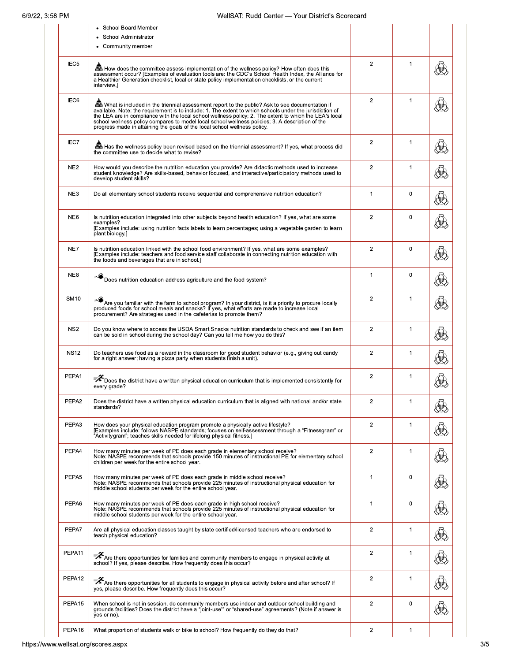## WellSAT: Rudd Center - Your District's Scorecard

|                  | • School Board Member<br>School Administrator<br>• Community member                                                                                                                                                                                                                                                                                                                                                                                                                                    |                |              |  |
|------------------|--------------------------------------------------------------------------------------------------------------------------------------------------------------------------------------------------------------------------------------------------------------------------------------------------------------------------------------------------------------------------------------------------------------------------------------------------------------------------------------------------------|----------------|--------------|--|
| IEC <sub>5</sub> | Eth How does the committee assess implementation of the wellness policy? How often does this<br>assessment occur? [Examples of evaluation tools are: the CDC's School Health Index, the Alliance for<br>a Healthier Generation checklist, local or state policy implementation checklists, or the current<br>interview.]                                                                                                                                                                               | $\overline{2}$ | $\mathbf{1}$ |  |
| IEC6             | What is included in the triennial assessment report to the public? Ask to see documentation if<br>available. Note: the requirement is to include: 1. The extent to which schools under the jurisdiction of<br>the LEA are in compliance with the local school wellness policy; 2. The extent to which the LEA's local<br>school wellness policy compares to model local school wellness policies; 3. A description of the<br>progress made in attaining the goals of the local school wellness policy. | $\overline{2}$ | $\mathbf{1}$ |  |
| IEC7             | Has the wellness policy been revised based on the triennial assessment? If yes, what process did<br>the committee use to decide what to revise?                                                                                                                                                                                                                                                                                                                                                        | $\overline{2}$ | $\mathbf{1}$ |  |
| NE <sub>2</sub>  | How would you describe the nutrition education you provide? Are didactic methods used to increase<br>student knowledge? Are skills-based, behavior focused, and interactive/participatory methods used to<br>develop student skills?                                                                                                                                                                                                                                                                   | $\overline{2}$ | $\mathbf{1}$ |  |
| NE3              | Do all elementary school students receive sequential and comprehensive nutrition education?                                                                                                                                                                                                                                                                                                                                                                                                            | $\mathbf{1}$   | $\mathbf 0$  |  |
| NE <sub>6</sub>  | Is nutrition education integrated into other subjects beyond health education? If yes, what are some<br>examples?<br>(Examples include: using nutrition facts labels to learn percentages: using a vegetable garden to learn<br>plant biology.]                                                                                                                                                                                                                                                        | $\overline{2}$ | $\mathbf 0$  |  |
| NE7              | Is nutrition education linked with the school food environment? If yes, what are some examples?<br>[Examples include: teachers and food service staff collaborate in connecting nutrition education with<br>the foods and beverages that are in school.]                                                                                                                                                                                                                                               | $\overline{2}$ | $\mathbf 0$  |  |
| NE8              | Does nutrition education address agriculture and the food system?                                                                                                                                                                                                                                                                                                                                                                                                                                      | $\mathbf{1}$   | $\mathbf 0$  |  |
| <b>SM10</b>      | Are you familiar with the farm to school program? In your district, is it a priority to procure locally<br>produced foods for school meals and snacks? If yes, what efforts are made to increase local<br>procurement? Are strategies used in the cafeterias to promote them?                                                                                                                                                                                                                          | $\overline{2}$ | $\mathbf{1}$ |  |
| NS <sub>2</sub>  | Do you know where to access the USDA Smart Snacks nutrition standards to check and see if an item<br>can be sold in school during the school day? Can you tell me how you do this?                                                                                                                                                                                                                                                                                                                     | $\overline{2}$ | $\mathbf{1}$ |  |
| <b>NS12</b>      | Do teachers use food as a reward in the classroom for good student behavior (e.g., giving out candy<br>for a right answer; having a pizza party when students finish a unit).                                                                                                                                                                                                                                                                                                                          | $\overline{2}$ | 1            |  |
| PEPA1            | ₹ Does the district have a written physical education curriculum that is implemented consistently for<br>every grade?                                                                                                                                                                                                                                                                                                                                                                                  | $\overline{2}$ | $\mathbf 1$  |  |
| PEPA2            | Does the district have a written physical education curriculum that is aligned with national and/or state<br>standards?                                                                                                                                                                                                                                                                                                                                                                                | $\overline{2}$ | 1            |  |
| PEPA3            | How does your physical education program promote a physically active lifestyle?<br>[Examples include: follows NASPE standards; focuses on self-assessment through a "Fitnessgram" or<br>Activitygram"; teaches skills needed for lifelong physical fitness.]                                                                                                                                                                                                                                           | $\overline{2}$ | $\mathbf 1$  |  |
| PEPA4            | How many minutes per week of PE does each grade in elementary school receive?<br>Note: NASPE recommends that schools provide 150 minutes of instructional PE for elementary school<br>children per week for the entire school year.                                                                                                                                                                                                                                                                    | $\overline{2}$ | $\mathbf{1}$ |  |
| PEPA5            | How many minutes per week of PE does each grade in middle school receive?<br>Note: NASPE recommends that schools provide 225 minutes of instructional physical education for<br>middle school students per week for the entire school year.                                                                                                                                                                                                                                                            | 1              | 0            |  |
| PEPA6            | How many minutes per week of PE does each grade in high school receive?<br>Note: NASPE recommends that schools provide 225 minutes of instructional physical education for<br>middle school students per week for the entire school year.                                                                                                                                                                                                                                                              | 1              | $\mathbf 0$  |  |
| PEPA7            | Are all physical education classes taught by state certified/licensed teachers who are endorsed to<br>teach physical education?                                                                                                                                                                                                                                                                                                                                                                        | $\overline{2}$ | $\mathbf{1}$ |  |
| PEPA11           | न् <b>2</b> Are there opportunities for families and community members to engage in physical activity at school? If yes, please describe. How frequently does this occur?                                                                                                                                                                                                                                                                                                                              | $\overline{2}$ | $\mathbf{1}$ |  |
| PEPA12           | $\bar{\mathscr{K}}$ Are there opportunities for all students to engage in physical activity before and after school? If<br>yes, please describe. How frequently does this occur?                                                                                                                                                                                                                                                                                                                       | $\overline{2}$ | 1            |  |
| PEPA15           | When school is not in session, do community members use indoor and outdoor school building and<br>grounds facilities? Does the district have a "joint-use" or "shared-use" agreements? (Note if answer is<br>yes or no).                                                                                                                                                                                                                                                                               | $\overline{2}$ | $\mathbf 0$  |  |
| PEPA16           | What proportion of students walk or bike to school? How frequently do they do that?                                                                                                                                                                                                                                                                                                                                                                                                                    | $\overline{2}$ | $\mathbf 1$  |  |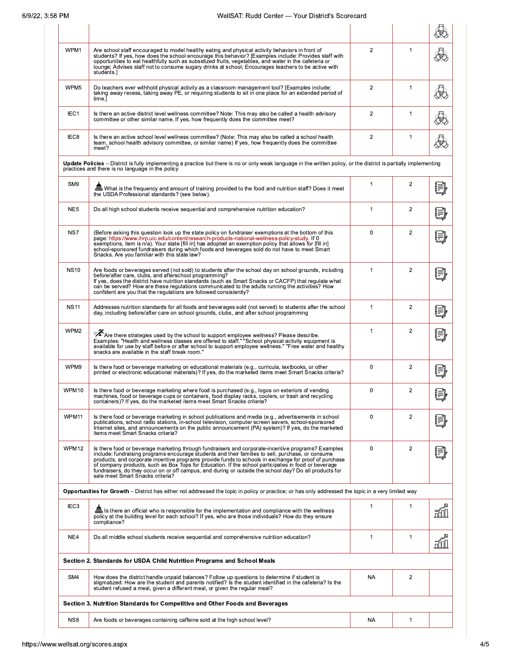## WellSAT: Rudd Center - Your District's Scorecard

| WPM1             | Are school staff encouraged to model healthy eating and physical activity behaviors in front of<br>students? If yes, how does the school encourage this behavior? [Examples include: Provides staff with<br>opportunities to eat healthfully such as subsidized fruits, vegetables, and water in the cafeteria or<br>lounge; Advises staff not to consume sugary drinks at school; Encourages teachers to be active with<br>students.]                                                                                                                                | $\overline{2}$ | $\mathbf 1$    |       |
|------------------|-----------------------------------------------------------------------------------------------------------------------------------------------------------------------------------------------------------------------------------------------------------------------------------------------------------------------------------------------------------------------------------------------------------------------------------------------------------------------------------------------------------------------------------------------------------------------|----------------|----------------|-------|
| WPM5             | Do teachers ever withhold physical activity as a classroom management tool? [Examples include:<br>taking away recess, taking away PE, or requiring students to sit in one place for an extended period of<br>time.]                                                                                                                                                                                                                                                                                                                                                   | $\overline{2}$ | $\mathbf{1}$   |       |
| IEC1             | Is there an active district level wellness committee? Note: This may also be called a health advisory<br>committee or other similar name. If yes, how frequently does the committee meet?                                                                                                                                                                                                                                                                                                                                                                             | $\overline{2}$ | 1              |       |
| IEC <sub>8</sub> | Is there an active school level wellness committee? (Note: This may also be called a school health<br>team, school health advisory committee, or similar name) If yes, how frequently does the committee<br>meet?                                                                                                                                                                                                                                                                                                                                                     | $\overline{2}$ | $\mathbf 1$    |       |
|                  | Update Policies - District is fully implementing a practice but there is no or only weak language in the written policy, or the district is partially implementing<br>practices and there is no language in the policy                                                                                                                                                                                                                                                                                                                                                |                |                |       |
| SM <sub>9</sub>  | of What is the frequency and amount of training provided to the food and nutrition staff? Does it meet<br>the USDA Professional standards? (see below).                                                                                                                                                                                                                                                                                                                                                                                                               | 1              | $\overline{2}$ |       |
| NE <sub>5</sub>  | Do all high school students receive sequential and comprehensive nutrition education?                                                                                                                                                                                                                                                                                                                                                                                                                                                                                 | 1              | $\overline{2}$ |       |
| NS7              | (Before asking this question look up the state policy on fundraiser exemptions at the bottom of this<br>page: https://www.ihrp.uic.edu/content/research-products-national-wellness-policy-study. If 0<br>exemptions, item is n/a). Your state [fill in] has adopted an exemption policy that allows for [fill in]<br>school-sponsored fundraisers during which foods and beverages sold do not have to meet Smart<br>Snacks. Are you familiar with this state law?                                                                                                    | 0              | $\overline{2}$ |       |
| <b>NS10</b>      | Are foods or beverages served (not sold) to students after the school day on school grounds, including<br>before/after care, clubs, and afterschool programming?<br>If yes, does the district have nutrition standards (such as Smart Snacks or CACFP) that regulate what<br>can be served? How are these regulations communicated to the adults running the activities? How<br>confident are you that the regulations are followed consistently?                                                                                                                     | 1              | $\overline{2}$ |       |
| <b>NS11</b>      | Addresses nutrition standards for all foods and beverages sold (not served) to students after the school<br>day, including before/after care on school grounds, clubs, and after school programming                                                                                                                                                                                                                                                                                                                                                                   | $\mathbf{1}$   | $\overline{c}$ |       |
| WPM2             | Are there strategies used by the school to support employee wellness? Please describe.<br>Examples: "Health and wellness classes are offered to staff." "School physical activity equipment is<br>available for use by staff before or after school to support employee wellness." "Free water and healthy<br>snacks are available in the staff break room."                                                                                                                                                                                                          | $\mathbf{1}$   | $\overline{2}$ |       |
| WPM9             | Is there food or beverage marketing on educational materials (e.g., curricula, textbooks, or other<br>printed or electronic educational materials)? If yes, do the marketed items meet Smart Snacks criteria?                                                                                                                                                                                                                                                                                                                                                         | 0              | $\overline{c}$ |       |
| WPM10            | Is there food or beverage marketing where food is purchased (e.g., logos on exteriors of vending<br>machines, food or beverage cups or containers, food display racks, coolers, or trash and recycling<br>containers)? If yes, do the marketed items meet Smart Snacks criteria?                                                                                                                                                                                                                                                                                      | $\mathbf 0$    | $\overline{c}$ | ພ     |
| WPM11            | Is there food or beverage marketing in school publications and media (e.g., advertisements in school<br>publications, school radio stations, in-school television, computer screen savers, school-sponsored<br>Internet sites, and announcements on the public announcement (PA) system)? If yes, do the marketed<br>items meet Smart Snacks criteria?                                                                                                                                                                                                                | 0              | 2              |       |
| WPM12            | Is there food or beverage marketing through fundraisers and corporate-incentive programs? Examples<br>include: fundraising programs encourage students and their families to sell, purchase, or consume<br>products, and corporate incentive programs provide funds to schools in exchange for proof of purchase<br>of company products, such as Box Tops for Education. If the school participates in food or beverage<br>fundraisers, do they occur on or off campus, and during or outside the school day? Do all products for<br>sale meet Smart Snacks criteria? | $\mathbf 0$    | $\overline{2}$ |       |
|                  | Opportunities for Growth – District has either not addressed the topic in policy or practice; or has only addressed the topic in a very limited way                                                                                                                                                                                                                                                                                                                                                                                                                   |                |                |       |
| IEC <sub>3</sub> | Is there an official who is responsible for the implementation and compliance with the wellness<br>policy at the building level for each school? If yes, who are those individuals? How do they ensure<br>compliance?                                                                                                                                                                                                                                                                                                                                                 | 1              | 1              | nni I |
| NE4              | Do all middle school students receive sequential and comprehensive nutrition education?                                                                                                                                                                                                                                                                                                                                                                                                                                                                               | 1              | 1              | n∏l   |
|                  | Section 2. Standards for USDA Child Nutrition Programs and School Meals                                                                                                                                                                                                                                                                                                                                                                                                                                                                                               |                |                |       |
| SM4              | How does the district handle unpaid balances? Follow up questions to determine if student is<br>stigmatized: How are the student and parents notified? Is the student identified in the cafeteria? Is the<br>student refused a meal, given a different meal, or given the regular meal?                                                                                                                                                                                                                                                                               | <b>NA</b>      | $\overline{2}$ |       |
|                  | Section 3. Nutrition Standards for Competitive and Other Foods and Beverages                                                                                                                                                                                                                                                                                                                                                                                                                                                                                          |                |                |       |
| NS8              | Are foods or beverages containing caffeine sold at the high school level?                                                                                                                                                                                                                                                                                                                                                                                                                                                                                             | NA             | 1              |       |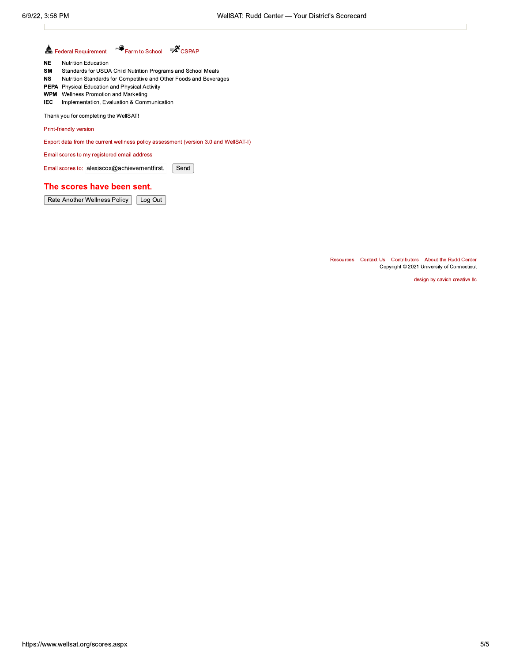#### $\bullet$  Farm to School  $\mathscr{X}_{\text{CSPAP}}$ Federal Requirement

- $\mathsf{NE}\xspace$ **Nutrition Education**
- SM Standards for USDA Child Nutrition Programs and School Meals
- Nutrition Standards for Competitive and Other Foods and Beverages  $_{\rm NS}$
- PEPA Physical Education and Physical Activity
- **WPM** Wellness Promotion and Marketing
- IEC Implementation, Evaluation & Communication

Thank you for completing the WellSAT!

Print-friendly version

Export data from the current wellness policy assessment (version 3.0 and WellSAT-I)

Email scores to my registered email address

Email scores to: alexiscox@achievementfirst. Send

#### The scores have been sent.

Rate Another Wellness Policy | Log Out

Resources Contact Us Contributors About the Rudd Center Copyright © 2021 University of Connecticut

design by cavich creative llc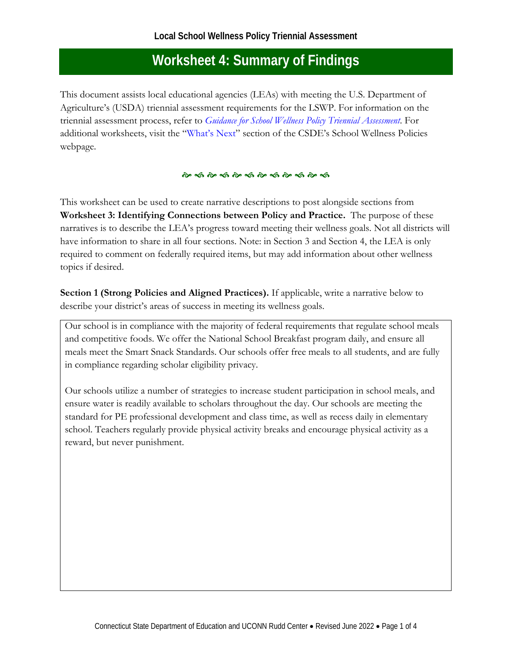This document assists local educational agencies (LEAs) with meeting the U.S. Department of Agriculture's (USDA) triennial assessment requirements for the LSWP. For information on the triennial assessment process, refer to *[Guidance for School Wellness Policy Triennial Assessment](https://portal.ct.gov/-/media/SDE/Nutrition/SWP/School_Wellness_Policy_Triennial_Assessment_Guidance.pdf)*. For additional worksheets, visit the ["What's Next"](https://portal.ct.gov/SDE/Nutrition/School-Wellness-Policies/What-Next) section of the CSDE's School Wellness Policies webpage.

## 

This worksheet can be used to create narrative descriptions to post alongside sections from **Worksheet 3: Identifying Connections between Policy and Practice.** The purpose of these narratives is to describe the LEA's progress toward meeting their wellness goals. Not all districts will have information to share in all four sections. Note: in Section 3 and Section 4, the LEA is only required to comment on federally required items, but may add information about other wellness topics if desired.

**Section 1 (Strong Policies and Aligned Practices).** If applicable, write a narrative below to describe your district's areas of success in meeting its wellness goals.

Our school is in compliance with the majority of federal requirements that regulate school meals and competitive foods. We offer the National School Breakfast program daily, and ensure all meals meet the Smart Snack Standards. Our schools offer free meals to all students, and are fully in compliance regarding scholar eligibility privacy.

Our schools utilize a number of strategies to increase student participation in school meals, and ensure water is readily available to scholars throughout the day. Our schools are meeting the standard for PE professional development and class time, as well as recess daily in elementary school. Teachers regularly provide physical activity breaks and encourage physical activity as a reward, but never punishment.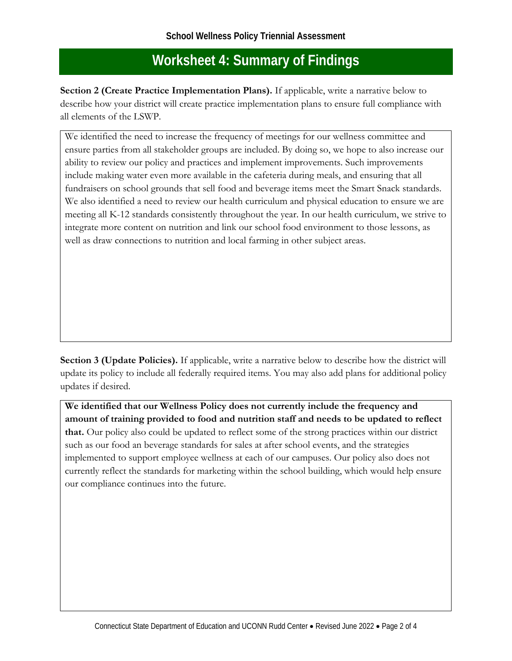**Section 2 (Create Practice Implementation Plans).** If applicable, write a narrative below to describe how your district will create practice implementation plans to ensure full compliance with all elements of the LSWP.

We identified the need to increase the frequency of meetings for our wellness committee and ensure parties from all stakeholder groups are included. By doing so, we hope to also increase our ability to review our policy and practices and implement improvements. Such improvements include making water even more available in the cafeteria during meals, and ensuring that all fundraisers on school grounds that sell food and beverage items meet the Smart Snack standards. We also identified a need to review our health curriculum and physical education to ensure we are meeting all K-12 standards consistently throughout the year. In our health curriculum, we strive to integrate more content on nutrition and link our school food environment to those lessons, as well as draw connections to nutrition and local farming in other subject areas.

**Section 3 (Update Policies).** If applicable, write a narrative below to describe how the district will update its policy to include all federally required items. You may also add plans for additional policy updates if desired.

**We identified that our Wellness Policy does not currently include the frequency and amount of training provided to food and nutrition staff and needs to be updated to reflect that.** Our policy also could be updated to reflect some of the strong practices within our district such as our food an beverage standards for sales at after school events, and the strategies implemented to support employee wellness at each of our campuses. Our policy also does not currently reflect the standards for marketing within the school building, which would help ensure our compliance continues into the future.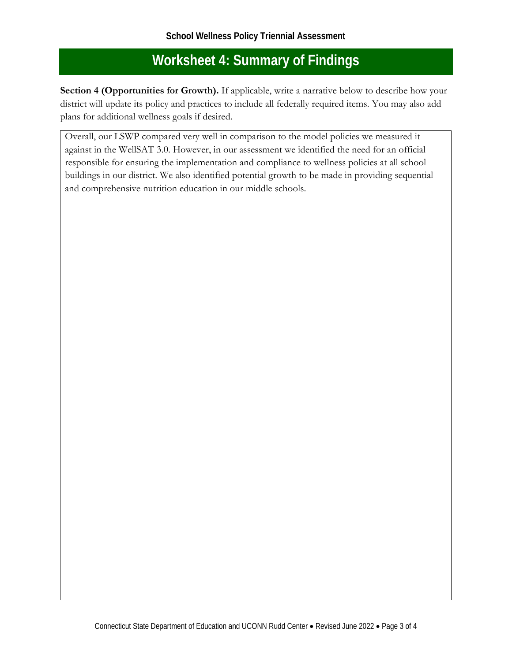**Section 4 (Opportunities for Growth).** If applicable, write a narrative below to describe how your district will update its policy and practices to include all federally required items. You may also add plans for additional wellness goals if desired.

Overall, our LSWP compared very well in comparison to the model policies we measured it against in the WellSAT 3.0. However, in our assessment we identified the need for an official responsible for ensuring the implementation and compliance to wellness policies at all school buildings in our district. We also identified potential growth to be made in providing sequential and comprehensive nutrition education in our middle schools.